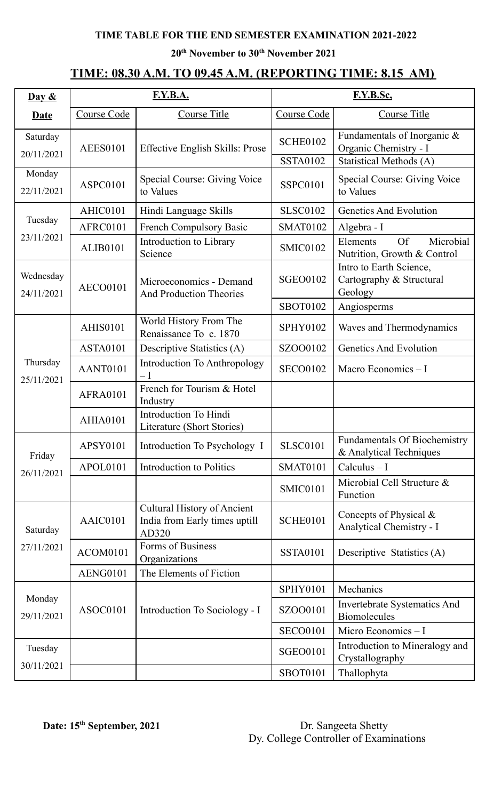### **TIME TABLE FOR THE END SEMESTER EXAMINATION 2021-2022**

**20 th November to 30 th November 2021**

## **TIME: 08.30 A.M. TO 09.45 A.M. (REPORTING TIME: 8.15 AM)**

| $\overline{\text{Day } \&}$ |                                                              | <b>F.Y.B.A.</b>                                                              | F.Y.B.Sc.       |                                                                   |  |
|-----------------------------|--------------------------------------------------------------|------------------------------------------------------------------------------|-----------------|-------------------------------------------------------------------|--|
| <b>Date</b>                 | Course Code<br><b>Course Title</b>                           |                                                                              | Course Code     | <b>Course Title</b>                                               |  |
| Saturday<br>20/11/2021      | <b>AEES0101</b>                                              | Effective English Skills: Prose                                              | <b>SCHE0102</b> | Fundamentals of Inorganic &<br>Organic Chemistry - I              |  |
|                             |                                                              |                                                                              | <b>SSTA0102</b> | <b>Statistical Methods (A)</b>                                    |  |
| Monday<br>22/11/2021        | <b>Special Course: Giving Voice</b><br>ASPC0101<br>to Values |                                                                              | <b>SSPC0101</b> | Special Course: Giving Voice<br>to Values                         |  |
| Tuesday<br>23/11/2021       | AHIC0101                                                     | Hindi Language Skills                                                        | <b>SLSC0102</b> | <b>Genetics And Evolution</b>                                     |  |
|                             | AFRC0101                                                     | French Compulsory Basic                                                      | <b>SMAT0102</b> | Algebra - I                                                       |  |
|                             | <b>ALIB0101</b>                                              | Introduction to Library<br>Science                                           | <b>SMIC0102</b> | Microbial<br>Elements<br><b>Of</b><br>Nutrition, Growth & Control |  |
| Wednesday<br>24/11/2021     | <b>AECO0101</b>                                              | Microeconomics - Demand<br><b>And Production Theories</b>                    | <b>SGEO0102</b> | Intro to Earth Science,<br>Cartography & Structural<br>Geology    |  |
|                             |                                                              |                                                                              | <b>SBOT0102</b> | Angiosperms                                                       |  |
| Thursday<br>25/11/2021      | <b>AHIS0101</b>                                              | World History From The<br>Renaissance To c. 1870                             | <b>SPHY0102</b> | Waves and Thermodynamics                                          |  |
|                             | <b>ASTA0101</b>                                              | Descriptive Statistics (A)                                                   | SZOO0102        | <b>Genetics And Evolution</b>                                     |  |
|                             | AANT0101                                                     | <b>Introduction To Anthropology</b><br>$-\mathrm{I}$                         | <b>SECO0102</b> | Macro Economics $-I$                                              |  |
|                             | <b>AFRA0101</b>                                              | French for Tourism & Hotel<br>Industry                                       |                 |                                                                   |  |
|                             | <b>AHIA0101</b>                                              | Introduction To Hindi<br>Literature (Short Stories)                          |                 |                                                                   |  |
| Friday<br>26/11/2021        | <b>APSY0101</b>                                              | Introduction To Psychology I                                                 | <b>SLSC0101</b> | <b>Fundamentals Of Biochemistry</b><br>& Analytical Techniques    |  |
|                             | APOL0101                                                     | <b>Introduction to Politics</b>                                              | <b>SMAT0101</b> | $Calculus - I$                                                    |  |
|                             |                                                              |                                                                              | <b>SMIC0101</b> | Microbial Cell Structure &<br>Function                            |  |
| Saturday<br>27/11/2021      | AAIC0101                                                     | <b>Cultural History of Ancient</b><br>India from Early times uptill<br>AD320 | <b>SCHE0101</b> | Concepts of Physical $\&$<br>Analytical Chemistry - I             |  |
|                             | ACOM0101                                                     | Forms of Business<br>Organizations                                           | <b>SSTA0101</b> | Descriptive Statistics (A)                                        |  |
|                             | AENG0101                                                     | The Elements of Fiction                                                      |                 |                                                                   |  |
| Monday<br>29/11/2021        | ASOC0101                                                     | Introduction To Sociology - I                                                | <b>SPHY0101</b> | Mechanics                                                         |  |
|                             |                                                              |                                                                              | SZOO0101        | Invertebrate Systematics And<br><b>Biomolecules</b>               |  |
|                             |                                                              |                                                                              | <b>SECO0101</b> | Micro Economics $-1$                                              |  |
| Tuesday                     |                                                              |                                                                              | <b>SGEO0101</b> | Introduction to Mineralogy and<br>Crystallography                 |  |
| 30/11/2021                  |                                                              |                                                                              | <b>SBOT0101</b> | Thallophyta                                                       |  |